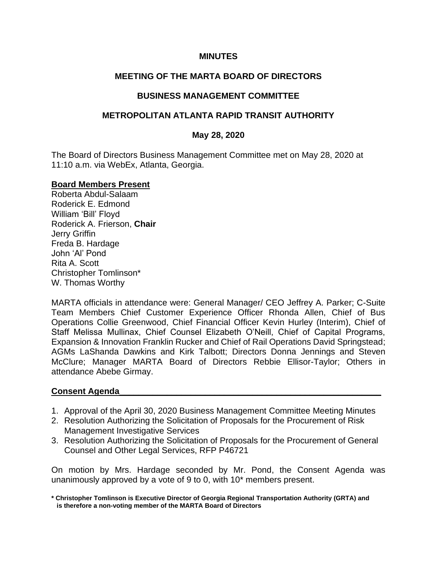### **MINUTES**

# **MEETING OF THE MARTA BOARD OF DIRECTORS**

### **BUSINESS MANAGEMENT COMMITTEE**

### **METROPOLITAN ATLANTA RAPID TRANSIT AUTHORITY**

#### **May 28, 2020**

The Board of Directors Business Management Committee met on May 28, 2020 at 11:10 a.m. via WebEx, Atlanta, Georgia.

#### **Board Members Present**

Roberta Abdul-Salaam Roderick E. Edmond William 'Bill' Floyd Roderick A. Frierson, **Chair** Jerry Griffin Freda B. Hardage John 'Al' Pond Rita A. Scott Christopher Tomlinson\* W. Thomas Worthy

MARTA officials in attendance were: General Manager/ CEO Jeffrey A. Parker; C-Suite Team Members Chief Customer Experience Officer Rhonda Allen, Chief of Bus Operations Collie Greenwood, Chief Financial Officer Kevin Hurley (Interim), Chief of Staff Melissa Mullinax, Chief Counsel Elizabeth O'Neill, Chief of Capital Programs, Expansion & Innovation Franklin Rucker and Chief of Rail Operations David Springstead; AGMs LaShanda Dawkins and Kirk Talbott; Directors Donna Jennings and Steven McClure; Manager MARTA Board of Directors Rebbie Ellisor-Taylor; Others in attendance Abebe Girmay.

# **Consent Agenda\_\_\_\_\_\_\_\_\_\_\_\_\_\_\_\_\_\_\_\_\_\_\_\_\_\_\_\_\_\_\_\_\_\_\_\_\_\_\_\_\_\_\_\_\_\_\_\_\_\_\_\_\_\_\_**

- 1. Approval of the April 30, 2020 Business Management Committee Meeting Minutes
- 2. Resolution Authorizing the Solicitation of Proposals for the Procurement of Risk Management Investigative Services
- 3. Resolution Authorizing the Solicitation of Proposals for the Procurement of General Counsel and Other Legal Services, RFP P46721

On motion by Mrs. Hardage seconded by Mr. Pond, the Consent Agenda was unanimously approved by a vote of 9 to 0, with 10\* members present.

**<sup>\*</sup> Christopher Tomlinson is Executive Director of Georgia Regional Transportation Authority (GRTA) and is therefore a non-voting member of the MARTA Board of Directors**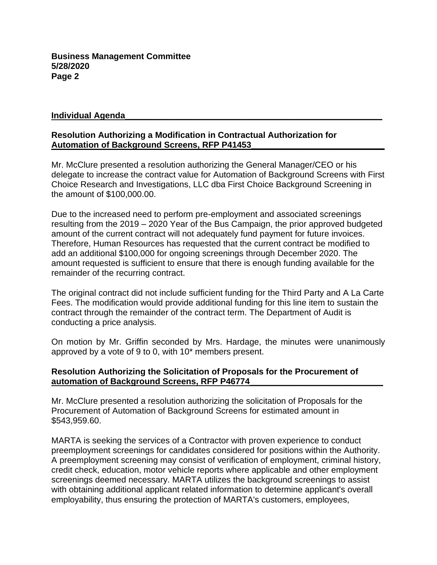### **Individual Agenda\_\_\_\_\_\_\_\_\_\_\_\_\_\_\_\_\_\_\_\_\_\_\_\_\_\_\_\_\_\_\_\_\_\_\_\_\_\_\_\_\_\_\_\_\_\_\_\_\_\_\_\_\_\_**

# **Resolution Authorizing a Modification in Contractual Authorization for Automation of Background Screens, RFP P41453\_**

Mr. McClure presented a resolution authorizing the General Manager/CEO or his delegate to increase the contract value for Automation of Background Screens with First Choice Research and Investigations, LLC dba First Choice Background Screening in the amount of \$100,000.00.

Due to the increased need to perform pre-employment and associated screenings resulting from the 2019 – 2020 Year of the Bus Campaign, the prior approved budgeted amount of the current contract will not adequately fund payment for future invoices. Therefore, Human Resources has requested that the current contract be modified to add an additional \$100,000 for ongoing screenings through December 2020. The amount requested is sufficient to ensure that there is enough funding available for the remainder of the recurring contract.

The original contract did not include sufficient funding for the Third Party and A La Carte Fees. The modification would provide additional funding for this line item to sustain the contract through the remainder of the contract term. The Department of Audit is conducting a price analysis.

On motion by Mr. Griffin seconded by Mrs. Hardage, the minutes were unanimously approved by a vote of 9 to 0, with 10\* members present.

### **Resolution Authorizing the Solicitation of Proposals for the Procurement of automation of Background Screens, RFP P46774\_\_\_\_\_\_\_\_\_\_\_\_\_\_\_\_\_\_\_\_\_\_\_\_\_\_\_\_**

Mr. McClure presented a resolution authorizing the solicitation of Proposals for the Procurement of Automation of Background Screens for estimated amount in \$543,959.60.

MARTA is seeking the services of a Contractor with proven experience to conduct preemployment screenings for candidates considered for positions within the Authority. A preemployment screening may consist of verification of employment, criminal history, credit check, education, motor vehicle reports where applicable and other employment screenings deemed necessary. MARTA utilizes the background screenings to assist with obtaining additional applicant related information to determine applicant's overall employability, thus ensuring the protection of MARTA's customers, employees,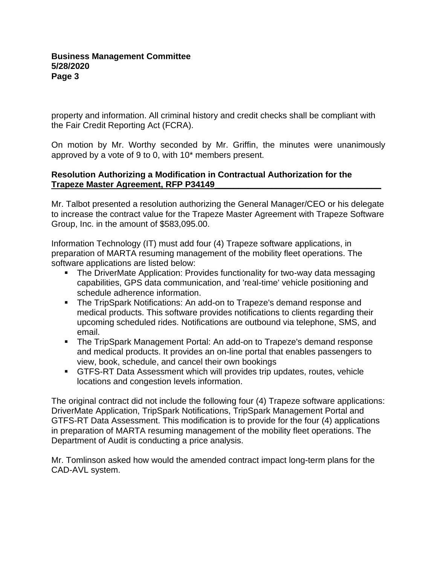property and information. All criminal history and credit checks shall be compliant with the Fair Credit Reporting Act (FCRA).

On motion by Mr. Worthy seconded by Mr. Griffin, the minutes were unanimously approved by a vote of 9 to 0, with 10\* members present.

### **Resolution Authorizing a Modification in Contractual Authorization for the Trapeze Master Agreement, RFP P34149\_\_\_\_\_\_\_\_\_\_\_\_\_\_\_\_\_\_\_\_\_\_\_\_\_\_\_\_\_\_\_\_\_\_\_**

Mr. Talbot presented a resolution authorizing the General Manager/CEO or his delegate to increase the contract value for the Trapeze Master Agreement with Trapeze Software Group, Inc. in the amount of \$583,095.00.

Information Technology (IT) must add four (4) Trapeze software applications, in preparation of MARTA resuming management of the mobility fleet operations. The software applications are listed below:

- The DriverMate Application: Provides functionality for two-way data messaging capabilities, GPS data communication, and 'real-time' vehicle positioning and schedule adherence information.
- The TripSpark Notifications: An add-on to Trapeze's demand response and medical products. This software provides notifications to clients regarding their upcoming scheduled rides. Notifications are outbound via telephone, SMS, and email.
- The TripSpark Management Portal: An add-on to Trapeze's demand response and medical products. It provides an on-line portal that enables passengers to view, book, schedule, and cancel their own bookings
- GTFS-RT Data Assessment which will provides trip updates, routes, vehicle locations and congestion levels information.

The original contract did not include the following four (4) Trapeze software applications: DriverMate Application, TripSpark Notifications, TripSpark Management Portal and GTFS-RT Data Assessment. This modification is to provide for the four (4) applications in preparation of MARTA resuming management of the mobility fleet operations. The Department of Audit is conducting a price analysis.

Mr. Tomlinson asked how would the amended contract impact long-term plans for the CAD-AVL system.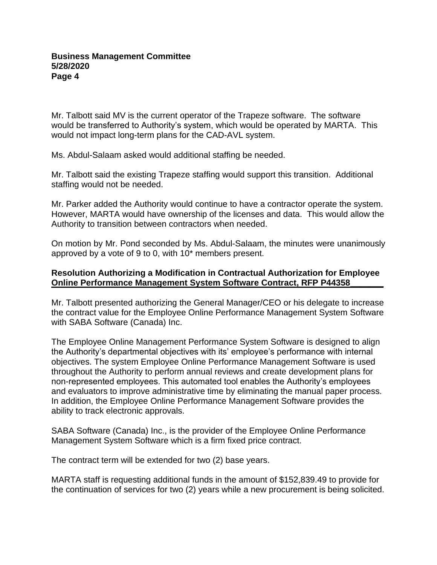Mr. Talbott said MV is the current operator of the Trapeze software. The software would be transferred to Authority's system, which would be operated by MARTA. This would not impact long-term plans for the CAD-AVL system.

Ms. Abdul-Salaam asked would additional staffing be needed.

Mr. Talbott said the existing Trapeze staffing would support this transition. Additional staffing would not be needed.

Mr. Parker added the Authority would continue to have a contractor operate the system. However, MARTA would have ownership of the licenses and data. This would allow the Authority to transition between contractors when needed.

On motion by Mr. Pond seconded by Ms. Abdul-Salaam, the minutes were unanimously approved by a vote of 9 to 0, with 10\* members present.

# **Resolution Authorizing a Modification in Contractual Authorization for Employee Online Performance Management System Software Contract, RFP P44358\_\_\_\_\_\_\_**

Mr. Talbott presented authorizing the General Manager/CEO or his delegate to increase the contract value for the Employee Online Performance Management System Software with SABA Software (Canada) Inc.

The Employee Online Management Performance System Software is designed to align the Authority's departmental objectives with its' employee's performance with internal objectives. The system Employee Online Performance Management Software is used throughout the Authority to perform annual reviews and create development plans for non-represented employees. This automated tool enables the Authority's employees and evaluators to improve administrative time by eliminating the manual paper process. In addition, the Employee Online Performance Management Software provides the ability to track electronic approvals.

SABA Software (Canada) Inc., is the provider of the Employee Online Performance Management System Software which is a firm fixed price contract.

The contract term will be extended for two (2) base years.

MARTA staff is requesting additional funds in the amount of \$152,839.49 to provide for the continuation of services for two (2) years while a new procurement is being solicited.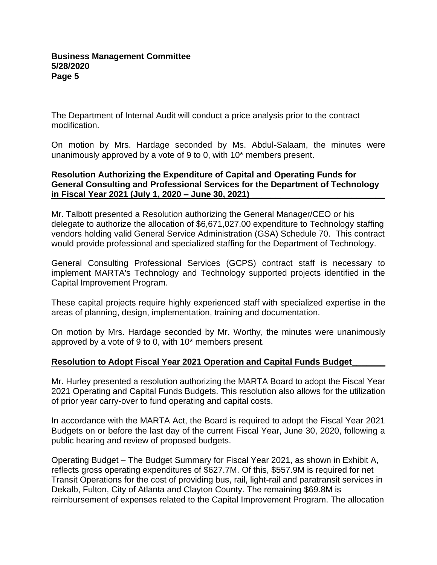The Department of Internal Audit will conduct a price analysis prior to the contract modification.

On motion by Mrs. Hardage seconded by Ms. Abdul-Salaam, the minutes were unanimously approved by a vote of 9 to 0, with 10\* members present.

## **Resolution Authorizing the Expenditure of Capital and Operating Funds for General Consulting and Professional Services for the Department of Technology in Fiscal Year 2021 (July 1, 2020 – June 30, 2021) \_\_\_\_\_\_\_\_\_\_\_\_\_\_\_\_\_\_\_\_\_\_\_\_\_\_\_\_**

Mr. Talbott presented a Resolution authorizing the General Manager/CEO or his delegate to authorize the allocation of \$6,671,027.00 expenditure to Technology staffing vendors holding valid General Service Administration (GSA) Schedule 70. This contract would provide professional and specialized staffing for the Department of Technology.

General Consulting Professional Services (GCPS) contract staff is necessary to implement MARTA's Technology and Technology supported projects identified in the Capital Improvement Program.

These capital projects require highly experienced staff with specialized expertise in the areas of planning, design, implementation, training and documentation.

On motion by Mrs. Hardage seconded by Mr. Worthy, the minutes were unanimously approved by a vote of 9 to 0, with 10\* members present.

# **Resolution to Adopt Fiscal Year 2021 Operation and Capital Funds Budget\_\_\_\_\_\_\_**

Mr. Hurley presented a resolution authorizing the MARTA Board to adopt the Fiscal Year 2021 Operating and Capital Funds Budgets. This resolution also allows for the utilization of prior year carry-over to fund operating and capital costs.

In accordance with the MARTA Act, the Board is required to adopt the Fiscal Year 2021 Budgets on or before the last day of the current Fiscal Year, June 30, 2020, following a public hearing and review of proposed budgets.

Operating Budget – The Budget Summary for Fiscal Year 2021, as shown in Exhibit A, reflects gross operating expenditures of \$627.7M. Of this, \$557.9M is required for net Transit Operations for the cost of providing bus, rail, light-rail and paratransit services in Dekalb, Fulton, City of Atlanta and Clayton County. The remaining \$69.8M is reimbursement of expenses related to the Capital Improvement Program. The allocation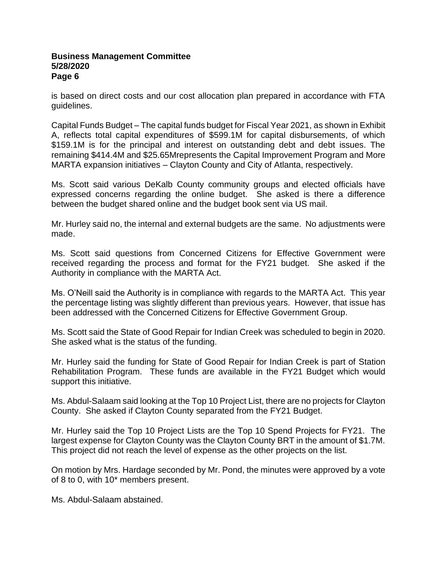#### **Business Management Committee 5/28/2020 Page 6**

is based on direct costs and our cost allocation plan prepared in accordance with FTA guidelines.

Capital Funds Budget – The capital funds budget for Fiscal Year 2021, as shown in Exhibit A, reflects total capital expenditures of \$599.1M for capital disbursements, of which \$159.1M is for the principal and interest on outstanding debt and debt issues. The remaining \$414.4M and \$25.65Mrepresents the Capital Improvement Program and More MARTA expansion initiatives – Clayton County and City of Atlanta, respectively.

Ms. Scott said various DeKalb County community groups and elected officials have expressed concerns regarding the online budget. She asked is there a difference between the budget shared online and the budget book sent via US mail.

Mr. Hurley said no, the internal and external budgets are the same. No adjustments were made.

Ms. Scott said questions from Concerned Citizens for Effective Government were received regarding the process and format for the FY21 budget. She asked if the Authority in compliance with the MARTA Act.

Ms. O'Neill said the Authority is in compliance with regards to the MARTA Act. This year the percentage listing was slightly different than previous years. However, that issue has been addressed with the Concerned Citizens for Effective Government Group.

Ms. Scott said the State of Good Repair for Indian Creek was scheduled to begin in 2020. She asked what is the status of the funding.

Mr. Hurley said the funding for State of Good Repair for Indian Creek is part of Station Rehabilitation Program. These funds are available in the FY21 Budget which would support this initiative.

Ms. Abdul-Salaam said looking at the Top 10 Project List, there are no projects for Clayton County. She asked if Clayton County separated from the FY21 Budget.

Mr. Hurley said the Top 10 Project Lists are the Top 10 Spend Projects for FY21. The largest expense for Clayton County was the Clayton County BRT in the amount of \$1.7M. This project did not reach the level of expense as the other projects on the list.

On motion by Mrs. Hardage seconded by Mr. Pond, the minutes were approved by a vote of 8 to 0, with 10\* members present.

Ms. Abdul-Salaam abstained.